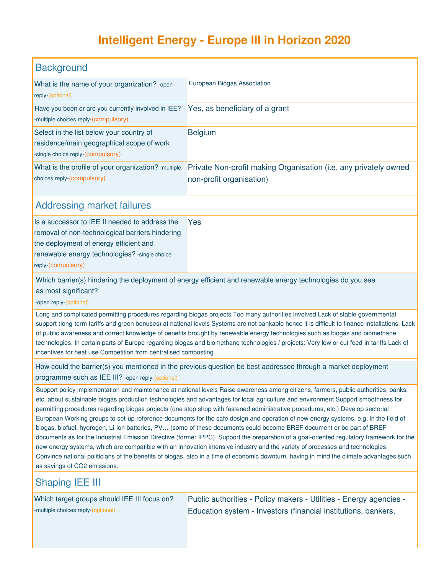## **Intelligent Energy - Europe III in Horizon 2020**

| <b>Background</b>                                                                                                          |                                                                                              |
|----------------------------------------------------------------------------------------------------------------------------|----------------------------------------------------------------------------------------------|
| What is the name of your organization? - open<br>reply-(optional)                                                          | European Biogas Association                                                                  |
| Have you been or are you currently involved in IEE?<br>-multiple choices reply-(compulsory)                                | Yes, as beneficiary of a grant                                                               |
| Select in the list below your country of<br>residence/main geographical scope of work<br>-single choice reply-(compulsory) | <b>Belgium</b>                                                                               |
| What is the profile of your organization? - multiple<br>choices reply-(compulsory)                                         | Private Non-profit making Organisation (i.e. any privately owned<br>non-profit organisation) |

## Addressing market failures

| Is a successor to IEE II needed to address the  | Yes |
|-------------------------------------------------|-----|
| removal of non-technological barriers hindering |     |
| the deployment of energy efficient and          |     |
| renewable energy technologies? - single choice  |     |
| reply-(compulsory)                              |     |

Which barrier(s) hindering the deployment of energy efficient and renewable energy technologies do you see as most significant?

-open reply-(optional)

Long and complicated permitting procedures regarding biogas projects Too many authorities involved Lack of stable governmental support (long-term tariffs and green bonuses) at national levels Systems are not bankable hence it is difficult to finance installations. Lack of public awareness and correct knowledge of benefits brought by renewable energy technologies such as biogas and biomethane technologies. In certain parts of Europe regarding biogas and biomethane technologies / projects: Very low or cut feed-in tariffs Lack of incentives for heat use Competition from centralised composting

How could the barrier(s) you mentioned in the previous question be best addressed through a market deployment programme such as IEE III? -open reply-(optional)

Support policy implementation and maintenance at national levels Raise awareness among citizens, farmers, public authorities, banks, etc. about sustainable biogas production technologies and advantages for local agriculture and environment Support smoothness for permitting procedures regarding biogas projects (one stop shop with fastened administrative procedures, etc.) Develop sectorial European Working groups to set-up reference documents for the safe design and operation of new energy systems, e.g. in the field of biogas, biofuel, hydrogen, Li-Ion batteries, PV… (some of these documents could become BREF document or be part of BREF documents as for the Industrial Emission Directive (former IPPC). Support the preparation of a goal-oriented regulatory framework for the new energy systems, which are compatible with an innovation intensive industry and the variety of processes and technologies. Convince national politicians of the benefits of biogas, also in a time of economic downturn, having in mind the climate advantages such as savings of CO2 emissions.

## Shaping IEE III

Which target groups should IEE III focus on? -multiple choices reply-(optional)

Public authorities - Policy makers - Utilities - Energy agencies - Education system - Investors (financial institutions, bankers,